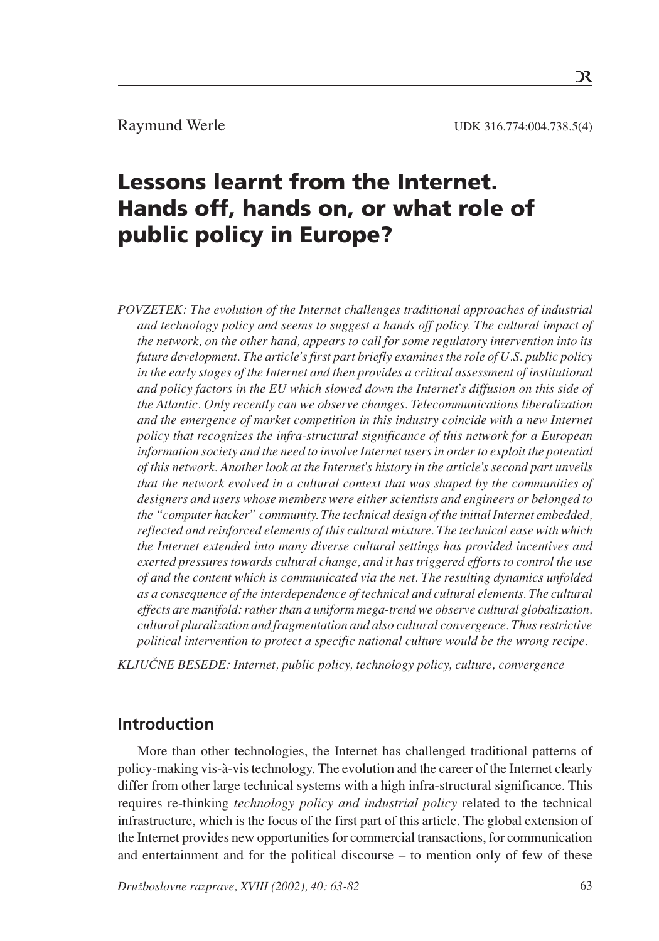Raymund Werle UDK 316.774:004.738.5(4)

# Lessons learnt from the Internet. Hands off, hands on, or what role of public policy in Europe?

*POVZETEK: The evolution of the Internet challenges traditional approaches of industrial and technology policy and seems to suggest a hands off policy. The cultural impact of the network, on the other hand, appears to call for some regulatory intervention into its future development. The article's first part briefly examines the role of U.S. public policy in the early stages of the Internet and then provides a critical assessment of institutional and policy factors in the EU which slowed down the Internet's diffusion on this side of the Atlantic. Only recently can we observe changes. Telecommunications liberalization and the emergence of market competition in this industry coincide with a new Internet policy that recognizes the infra-structural significance of this network for a European information society and the need to involve Internet users in order to exploit the potential of this network. Another look at the Internet's history in the article's second part unveils that the network evolved in a cultural context that was shaped by the communities of designers and users whose members were either scientists and engineers or belonged to the "computer hacker" community. The technical design of the initial Internet embedded, reflected and reinforced elements of this cultural mixture. The technical ease with which the Internet extended into many diverse cultural settings has provided incentives and exerted pressures towards cultural change, and it has triggered efforts to control the use of and the content which is communicated via the net. The resulting dynamics unfolded as a consequence of the interdependence of technical and cultural elements. The cultural effects are manifold: rather than a uniform mega-trend we observe cultural globalization, cultural pluralization and fragmentation and also cultural convergence. Thus restrictive political intervention to protect a specific national culture would be the wrong recipe.*

*KLJUČNE BESEDE: Internet, public policy, technology policy, culture, convergence* 

# **Introduction**

More than other technologies, the Internet has challenged traditional patterns of policy-making vis-à-vis technology. The evolution and the career of the Internet clearly differ from other large technical systems with a high infra-structural significance. This requires re-thinking *technology policy and industrial policy* related to the technical infrastructure, which is the focus of the first part of this article. The global extension of the Internet provides new opportunities for commercial transactions, for communication and entertainment and for the political discourse  $-$  to mention only of few of these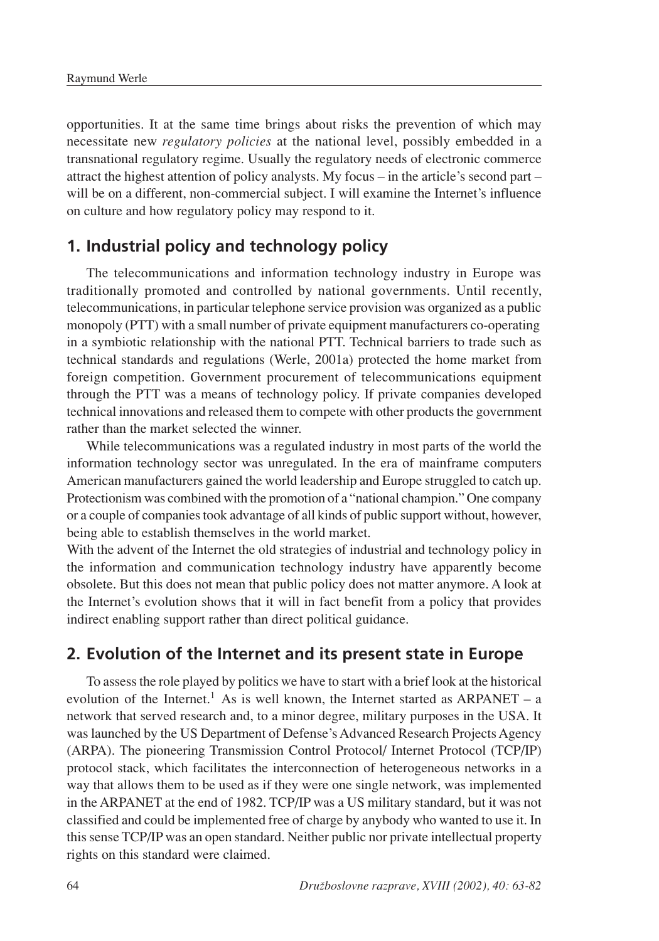opportunities. It at the same time brings about risks the prevention of which may necessitate new *regulatory policies* at the national level, possibly embedded in a transnational regulatory regime. Usually the regulatory needs of electronic commerce attract the highest attention of policy analysts. My focus  $-$  in the article's second part  $$ will be on a different, non-commercial subject. I will examine the Internet's influence on culture and how regulatory policy may respond to it.

### **1. Industrial policy and technology policy**

The telecommunications and information technology industry in Europe was traditionally promoted and controlled by national governments. Until recently, telecommunications, in particular telephone service provision was organized as a public monopoly (PTT) with a small number of private equipment manufacturers co-operating in a symbiotic relationship with the national PTT. Technical barriers to trade such as technical standards and regulations (Werle, 2001a) protected the home market from foreign competition. Government procurement of telecommunications equipment through the PTT was a means of technology policy. If private companies developed technical innovations and released them to compete with other products the government rather than the market selected the winner.

While telecommunications was a regulated industry in most parts of the world the information technology sector was unregulated. In the era of mainframe computers American manufacturers gained the world leadership and Europe struggled to catch up. Protectionism was combined with the promotion of a "national champion." One company or a couple of companies took advantage of all kinds of public support without, however, being able to establish themselves in the world market.

With the advent of the Internet the old strategies of industrial and technology policy in the information and communication technology industry have apparently become obsolete. But this does not mean that public policy does not matter anymore. A look at the Internet's evolution shows that it will in fact benefit from a policy that provides indirect enabling support rather than direct political guidance.

### **2. Evolution of the Internet and its present state in Europe**

To assess the role played by politics we have to start with a brief look at the historical evolution of the Internet.<sup>1</sup> As is well known, the Internet started as ARPANET  $-$  a network that served research and, to a minor degree, military purposes in the USA. It was launched by the US Department of Defense's Advanced Research Projects Agency (ARPA). The pioneering Transmission Control Protocol/ Internet Protocol (TCP/IP) protocol stack, which facilitates the interconnection of heterogeneous networks in a way that allows them to be used as if they were one single network, was implemented in the ARPANET at the end of 1982. TCP/IP was a US military standard, but it was not classified and could be implemented free of charge by anybody who wanted to use it. In this sense TCP/IP was an open standard. Neither public nor private intellectual property rights on this standard were claimed.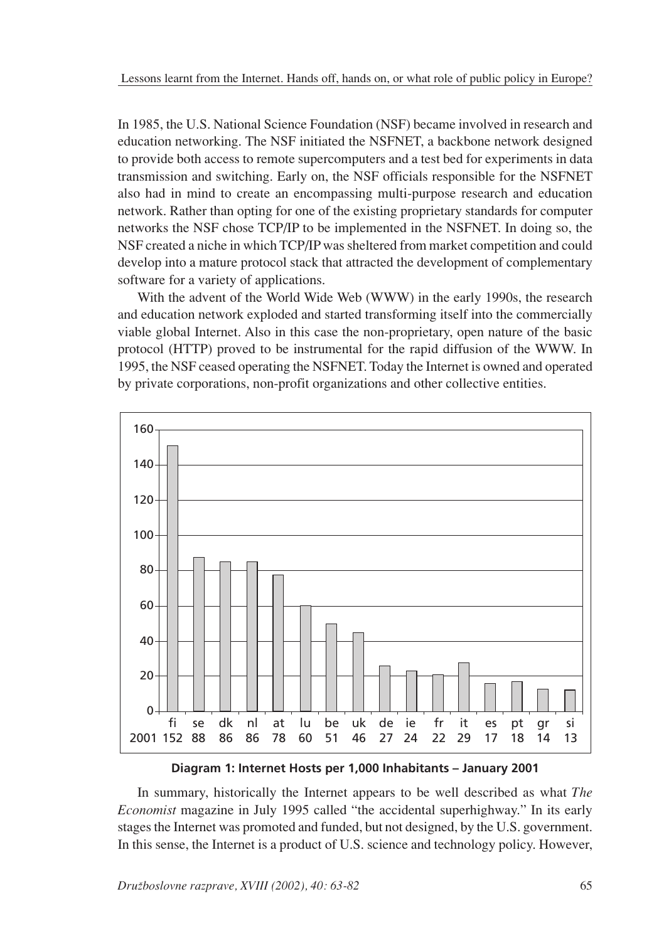In 1985, the U.S. National Science Foundation (NSF) became involved in research and education networking. The NSF initiated the NSFNET, a backbone network designed to provide both access to remote supercomputers and a test bed for experiments in data transmission and switching. Early on, the NSF officials responsible for the NSFNET also had in mind to create an encompassing multi-purpose research and education network. Rather than opting for one of the existing proprietary standards for computer networks the NSF chose TCP/IP to be implemented in the NSFNET. In doing so, the NSF created a niche in which TCP/IP was sheltered from market competition and could develop into a mature protocol stack that attracted the development of complementary software for a variety of applications.

With the advent of the World Wide Web (WWW) in the early 1990s, the research and education network exploded and started transforming itself into the commercially viable global Internet. Also in this case the non-proprietary, open nature of the basic protocol (HTTP) proved to be instrumental for the rapid diffusion of the WWW. In 1995, the NSF ceased operating the NSFNET. Today the Internet is owned and operated by private corporations, non-profit organizations and other collective entities.



**Diagram 1: Internet Hosts per 1,000 Inhabitants - January 2001** 

In summary, historically the Internet appears to be well described as what *The Economist* magazine in July 1995 called "the accidental superhighway." In its early stages the Internet was promoted and funded, but not designed, by the U.S. government. In this sense, the Internet is a product of U.S. science and technology policy. However,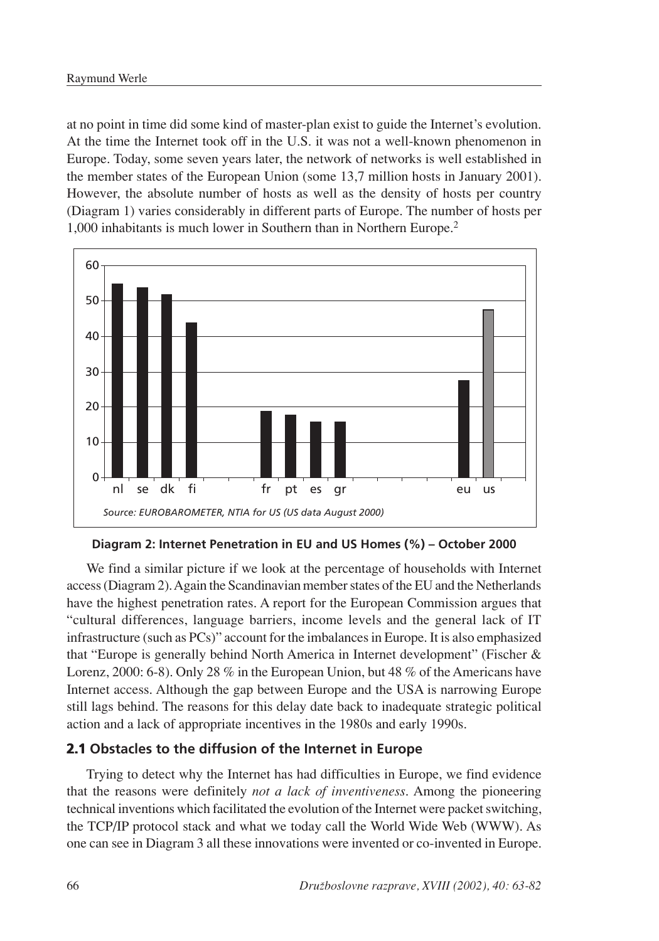at no point in time did some kind of master-plan exist to guide the Internet's evolution. At the time the Internet took off in the U.S. it was not a well-known phenomenon in Europe. Today, some seven years later, the network of networks is well established in the member states of the European Union (some 13,7 million hosts in January 2001). However, the absolute number of hosts as well as the density of hosts per country (Diagram 1) varies considerably in different parts of Europe. The number of hosts per 1,000 inhabitants is much lower in Southern than in Northern Europe.2



**Diagram 2: Internet Penetration in EU and US Homes (%) – October 2000** 

We find a similar picture if we look at the percentage of households with Internet access (Diagram 2). Again the Scandinavian member states of the EU and the Netherlands have the highest penetration rates. A report for the European Commission argues that "cultural differences, language barriers, income levels and the general lack of IT infrastructure (such as PCs)" account for the imbalances in Europe. It is also emphasized that "Europe is generally behind North America in Internet development" (Fischer & Lorenz, 2000: 6-8). Only 28 % in the European Union, but 48 % of the Americans have Internet access. Although the gap between Europe and the USA is narrowing Europe still lags behind. The reasons for this delay date back to inadequate strategic political action and a lack of appropriate incentives in the 1980s and early 1990s.

### **2.1 Obstacles to the diffusion of the Internet in Europe**

Trying to detect why the Internet has had difficulties in Europe, we find evidence that the reasons were definitely *not a lack of inventiveness*. Among the pioneering technical inventions which facilitated the evolution of the Internet were packet switching, the TCP/IP protocol stack and what we today call the World Wide Web (WWW). As one can see in Diagram 3 all these innovations were invented or co-invented in Europe.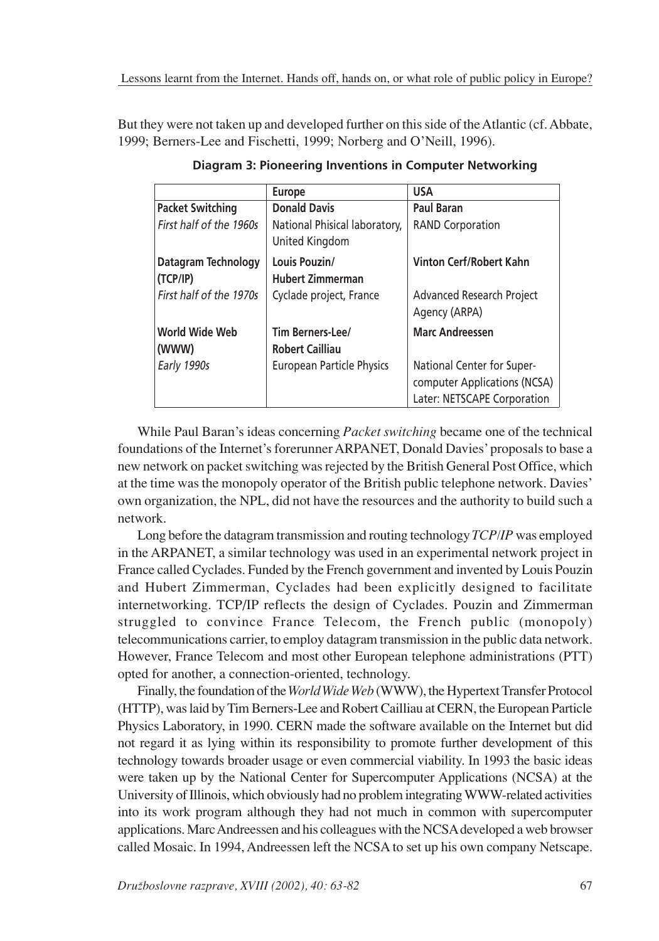But they were not taken up and developed further on this side of the Atlantic (cf. Abbate, 1999; Berners-Lee and Fischetti, 1999; Norberg and O'Neill, 1996).

|                                 | <b>Europe</b>                                   | <b>USA</b>                                                                                |
|---------------------------------|-------------------------------------------------|-------------------------------------------------------------------------------------------|
| <b>Packet Switching</b>         | <b>Donald Davis</b>                             | <b>Paul Baran</b>                                                                         |
| First half of the 1960s         | National Phisical laboratory,<br>United Kingdom | <b>RAND Corporation</b>                                                                   |
| Datagram Technology<br>(TCP/IP) | Louis Pouzin/<br><b>Hubert Zimmerman</b>        | Vinton Cerf/Robert Kahn                                                                   |
| First half of the 1970s         | Cyclade project, France                         | Advanced Research Project<br>Agency (ARPA)                                                |
| World Wide Web                  | Tim Berners-Lee/                                | <b>Marc Andreessen</b>                                                                    |
| (WWW)                           | <b>Robert Cailliau</b>                          |                                                                                           |
| Early 1990s                     | <b>European Particle Physics</b>                | National Center for Super-<br>computer Applications (NCSA)<br>Later: NETSCAPE Corporation |

**Diagram 3: Pioneering Inventions in Computer Networking**

While Paul Baran's ideas concerning *Packet switching* became one of the technical foundations of the Internet's forerunner ARPANET, Donald Davies' proposals to base a new network on packet switching was rejected by the British General Post Office, which at the time was the monopoly operator of the British public telephone network. Davies' own organization, the NPL, did not have the resources and the authority to build such a network.

Long before the datagram transmission and routing technology *TCP/IP* was employed in the ARPANET, a similar technology was used in an experimental network project in France called Cyclades. Funded by the French government and invented by Louis Pouzin and Hubert Zimmerman, Cyclades had been explicitly designed to facilitate internetworking. TCP/IP reflects the design of Cyclades. Pouzin and Zimmerman struggled to convince France Telecom, the French public (monopoly) telecommunications carrier, to employ datagram transmission in the public data network. However, France Telecom and most other European telephone administrations (PTT) opted for another, a connection-oriented, technology.

Finally, the foundation of the *World Wide Web* (WWW), the Hypertext Transfer Protocol (HTTP), was laid by Tim Berners-Lee and Robert Cailliau at CERN, the European Particle Physics Laboratory, in 1990. CERN made the software available on the Internet but did not regard it as lying within its responsibility to promote further development of this technology towards broader usage or even commercial viability. In 1993 the basic ideas were taken up by the National Center for Supercomputer Applications (NCSA) at the University of Illinois, which obviously had no problem integrating WWW-related activities into its work program although they had not much in common with supercomputer applications. Marc Andreessen and his colleagues with the NCSA developed a web browser called Mosaic. In 1994, Andreessen left the NCSA to set up his own company Netscape.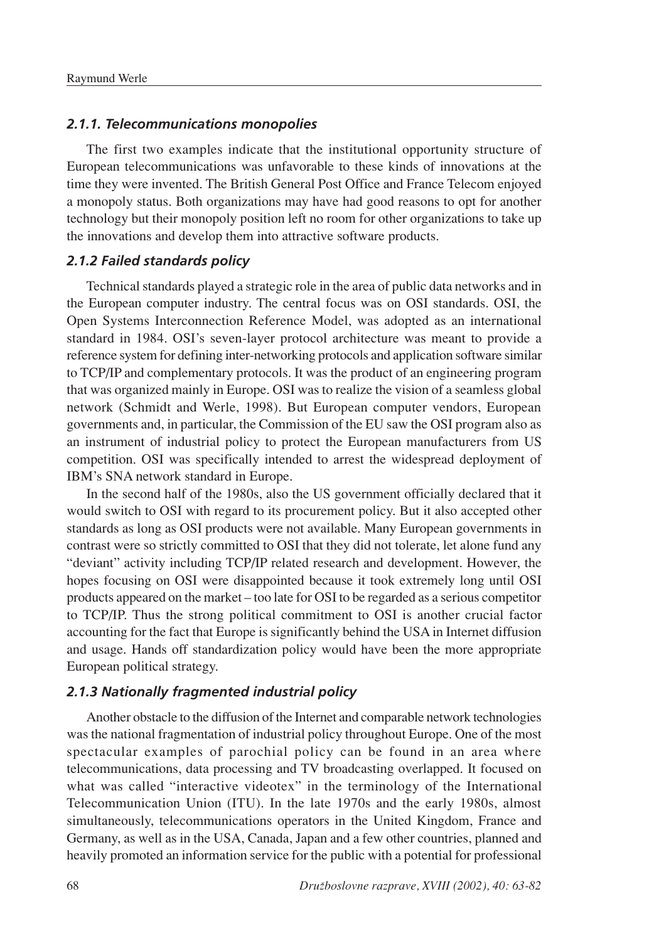### *2.1.1. Telecommunications monopolies*

The first two examples indicate that the institutional opportunity structure of European telecommunications was unfavorable to these kinds of innovations at the time they were invented. The British General Post Office and France Telecom enjoyed a monopoly status. Both organizations may have had good reasons to opt for another technology but their monopoly position left no room for other organizations to take up the innovations and develop them into attractive software products.

### *2.1.2 Failed standards policy*

Technical standards played a strategic role in the area of public data networks and in the European computer industry. The central focus was on OSI standards. OSI, the Open Systems Interconnection Reference Model, was adopted as an international standard in 1984. OSI's seven-layer protocol architecture was meant to provide a reference system for defining inter-networking protocols and application software similar to TCP/IP and complementary protocols. It was the product of an engineering program that was organized mainly in Europe. OSI was to realize the vision of a seamless global network (Schmidt and Werle, 1998). But European computer vendors, European governments and, in particular, the Commission of the EU saw the OSI program also as an instrument of industrial policy to protect the European manufacturers from US competition. OSI was specifically intended to arrest the widespread deployment of IBM's SNA network standard in Europe.

In the second half of the 1980s, also the US government officially declared that it would switch to OSI with regard to its procurement policy. But it also accepted other standards as long as OSI products were not available. Many European governments in contrast were so strictly committed to OSI that they did not tolerate, let alone fund any "deviant" activity including TCP/IP related research and development. However, the hopes focusing on OSI were disappointed because it took extremely long until OSI products appeared on the market – too late for OSI to be regarded as a serious competitor to TCP/IP. Thus the strong political commitment to OSI is another crucial factor accounting for the fact that Europe is significantly behind the USA in Internet diffusion and usage. Hands off standardization policy would have been the more appropriate European political strategy.

### *2.1.3 Nationally fragmented industrial policy*

Another obstacle to the diffusion of the Internet and comparable network technologies was the national fragmentation of industrial policy throughout Europe. One of the most spectacular examples of parochial policy can be found in an area where telecommunications, data processing and TV broadcasting overlapped. It focused on what was called "interactive videotex" in the terminology of the International Telecommunication Union (ITU). In the late 1970s and the early 1980s, almost simultaneously, telecommunications operators in the United Kingdom, France and Germany, as well as in the USA, Canada, Japan and a few other countries, planned and heavily promoted an information service for the public with a potential for professional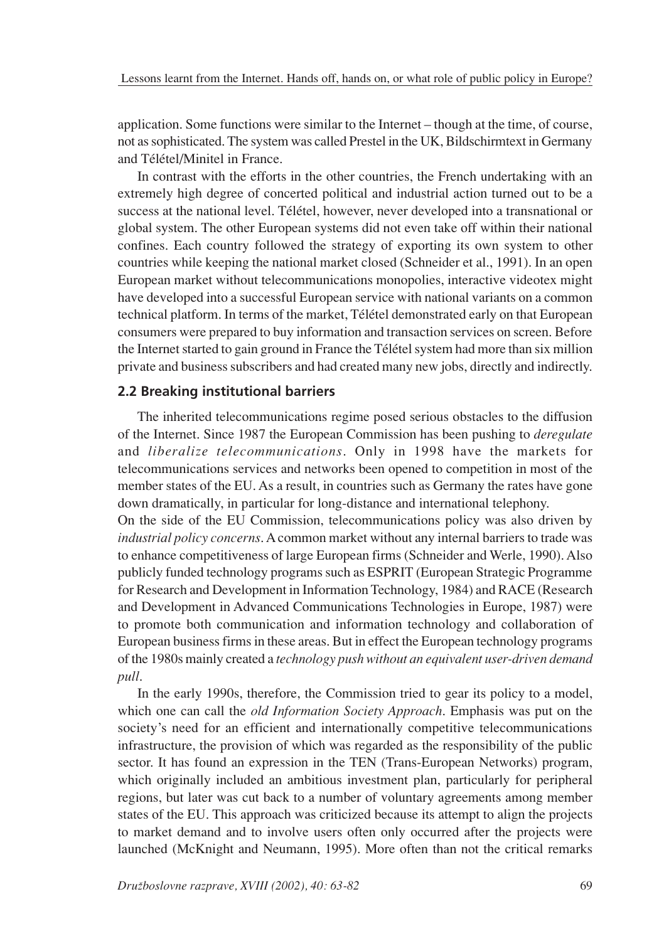application. Some functions were similar to the Internet - though at the time, of course, not as sophisticated. The system was called Prestel in the UK, Bildschirmtext in Germany and Télétel/Minitel in France.

In contrast with the efforts in the other countries, the French undertaking with an extremely high degree of concerted political and industrial action turned out to be a success at the national level. Télétel, however, never developed into a transnational or global system. The other European systems did not even take off within their national confines. Each country followed the strategy of exporting its own system to other countries while keeping the national market closed (Schneider et al., 1991). In an open European market without telecommunications monopolies, interactive videotex might have developed into a successful European service with national variants on a common technical platform. In terms of the market, Télétel demonstrated early on that European consumers were prepared to buy information and transaction services on screen. Before the Internet started to gain ground in France the Télétel system had more than six million private and business subscribers and had created many new jobs, directly and indirectly.

### **2.2 Breaking institutional barriers**

The inherited telecommunications regime posed serious obstacles to the diffusion of the Internet. Since 1987 the European Commission has been pushing to *deregulate* and *liberalize telecommunications*. Only in 1998 have the markets for telecommunications services and networks been opened to competition in most of the member states of the EU. As a result, in countries such as Germany the rates have gone down dramatically, in particular for long-distance and international telephony.

On the side of the EU Commission, telecommunications policy was also driven by *industrial policy concerns*. A common market without any internal barriers to trade was to enhance competitiveness of large European firms (Schneider and Werle, 1990). Also publicly funded technology programs such as ESPRIT (European Strategic Programme for Research and Development in Information Technology, 1984) and RACE (Research and Development in Advanced Communications Technologies in Europe, 1987) were to promote both communication and information technology and collaboration of European business firms in these areas. But in effect the European technology programs of the 1980s mainly created a *technology push without an equivalent user-driven demand pull*.

In the early 1990s, therefore, the Commission tried to gear its policy to a model, which one can call the *old Information Society Approach*. Emphasis was put on the society's need for an efficient and internationally competitive telecommunications infrastructure, the provision of which was regarded as the responsibility of the public sector. It has found an expression in the TEN (Trans-European Networks) program, which originally included an ambitious investment plan, particularly for peripheral regions, but later was cut back to a number of voluntary agreements among member states of the EU. This approach was criticized because its attempt to align the projects to market demand and to involve users often only occurred after the projects were launched (McKnight and Neumann, 1995). More often than not the critical remarks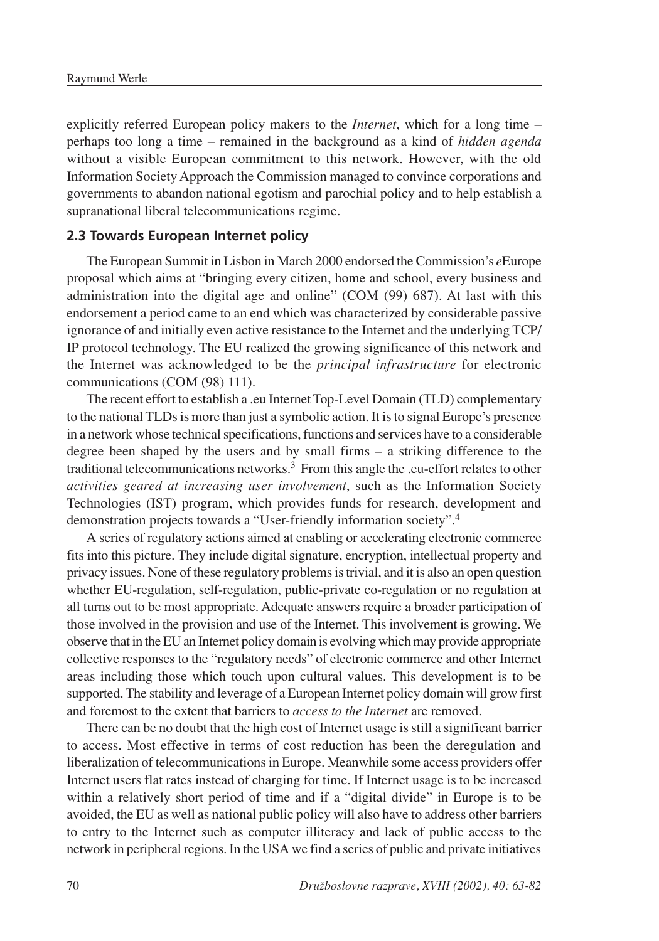explicitly referred European policy makers to the *Internet*, which for a long time  $$ perhaps too long a time ‡ remained in the background as a kind of *hidden agenda* without a visible European commitment to this network. However, with the old Information Society Approach the Commission managed to convince corporations and governments to abandon national egotism and parochial policy and to help establish a supranational liberal telecommunications regime.

### **2.3 Towards European Internet policy**

The European Summit in Lisbon in March 2000 endorsed the Commission's *e*Europe proposal which aims at "bringing every citizen, home and school, every business and administration into the digital age and online" (COM (99) 687). At last with this endorsement a period came to an end which was characterized by considerable passive ignorance of and initially even active resistance to the Internet and the underlying TCP/ IP protocol technology. The EU realized the growing significance of this network and the Internet was acknowledged to be the *principal infrastructure* for electronic communications (COM (98) 111).

The recent effort to establish a .eu Internet Top-Level Domain (TLD) complementary to the national TLDs is more than just a symbolic action. It is to signal Europe's presence in a network whose technical specifications, functions and services have to a considerable degree been shaped by the users and by small firms  $-$  a striking difference to the traditional telecommunications networks.<sup>3</sup> From this angle the .eu-effort relates to other *activities geared at increasing user involvement*, such as the Information Society Technologies (IST) program, which provides funds for research, development and demonstration projects towards a "User-friendly information society".4

A series of regulatory actions aimed at enabling or accelerating electronic commerce fits into this picture. They include digital signature, encryption, intellectual property and privacy issues. None of these regulatory problems is trivial, and it is also an open question whether EU-regulation, self-regulation, public-private co-regulation or no regulation at all turns out to be most appropriate. Adequate answers require a broader participation of those involved in the provision and use of the Internet. This involvement is growing. We observe that in the EU an Internet policy domain is evolving which may provide appropriate collective responses to the "regulatory needs" of electronic commerce and other Internet areas including those which touch upon cultural values. This development is to be supported. The stability and leverage of a European Internet policy domain will grow first and foremost to the extent that barriers to *access to the Internet* are removed.

There can be no doubt that the high cost of Internet usage is still a significant barrier to access. Most effective in terms of cost reduction has been the deregulation and liberalization of telecommunications in Europe. Meanwhile some access providers offer Internet users flat rates instead of charging for time. If Internet usage is to be increased within a relatively short period of time and if a "digital divide" in Europe is to be avoided, the EU as well as national public policy will also have to address other barriers to entry to the Internet such as computer illiteracy and lack of public access to the network in peripheral regions. In the USA we find a series of public and private initiatives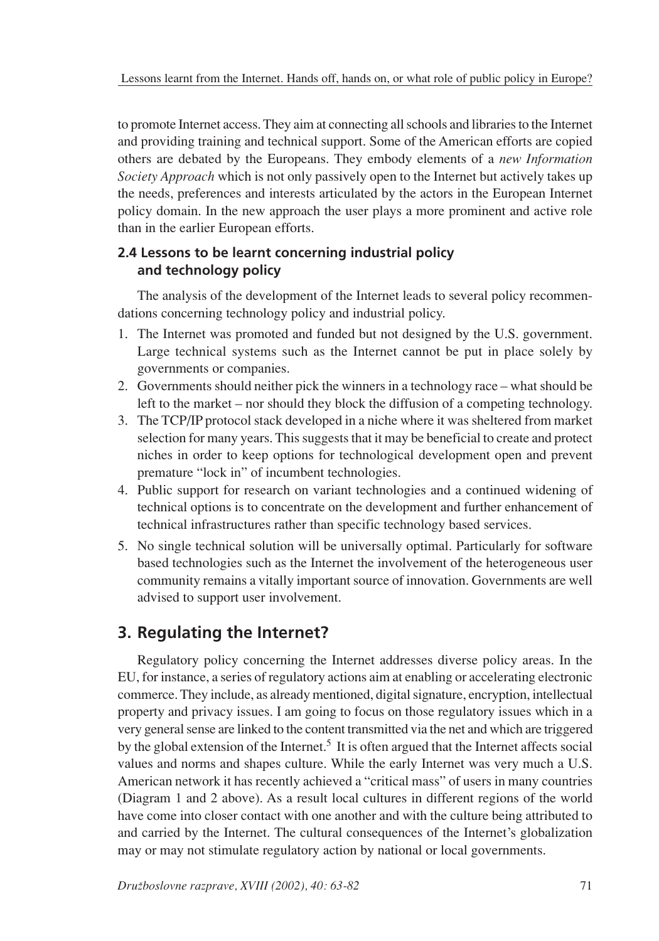to promote Internet access. They aim at connecting all schools and libraries to the Internet and providing training and technical support. Some of the American efforts are copied others are debated by the Europeans. They embody elements of a *new Information Society Approach* which is not only passively open to the Internet but actively takes up the needs, preferences and interests articulated by the actors in the European Internet policy domain. In the new approach the user plays a more prominent and active role than in the earlier European efforts.

## **2.4 Lessons to be learnt concerning industrial policy and technology policy**

The analysis of the development of the Internet leads to several policy recommendations concerning technology policy and industrial policy.

- 1. The Internet was promoted and funded but not designed by the U.S. government. Large technical systems such as the Internet cannot be put in place solely by governments or companies.
- 2. Governments should neither pick the winners in a technology race  $-\omega$  what should be left to the market  $-$  nor should they block the diffusion of a competing technology.
- 3. The TCP/IP protocol stack developed in a niche where it was sheltered from market selection for many years. This suggests that it may be beneficial to create and protect niches in order to keep options for technological development open and prevent premature "lock in" of incumbent technologies.
- 4. Public support for research on variant technologies and a continued widening of technical options is to concentrate on the development and further enhancement of technical infrastructures rather than specific technology based services.
- 5. No single technical solution will be universally optimal. Particularly for software based technologies such as the Internet the involvement of the heterogeneous user community remains a vitally important source of innovation. Governments are well advised to support user involvement.

# **3. Regulating the Internet?**

Regulatory policy concerning the Internet addresses diverse policy areas. In the EU, for instance, a series of regulatory actions aim at enabling or accelerating electronic commerce. They include, as already mentioned, digital signature, encryption, intellectual property and privacy issues. I am going to focus on those regulatory issues which in a very general sense are linked to the content transmitted via the net and which are triggered by the global extension of the Internet.<sup>5</sup> It is often argued that the Internet affects social values and norms and shapes culture. While the early Internet was very much a U.S. American network it has recently achieved a "critical mass" of users in many countries (Diagram 1 and 2 above). As a result local cultures in different regions of the world have come into closer contact with one another and with the culture being attributed to and carried by the Internet. The cultural consequences of the Internet's globalization may or may not stimulate regulatory action by national or local governments.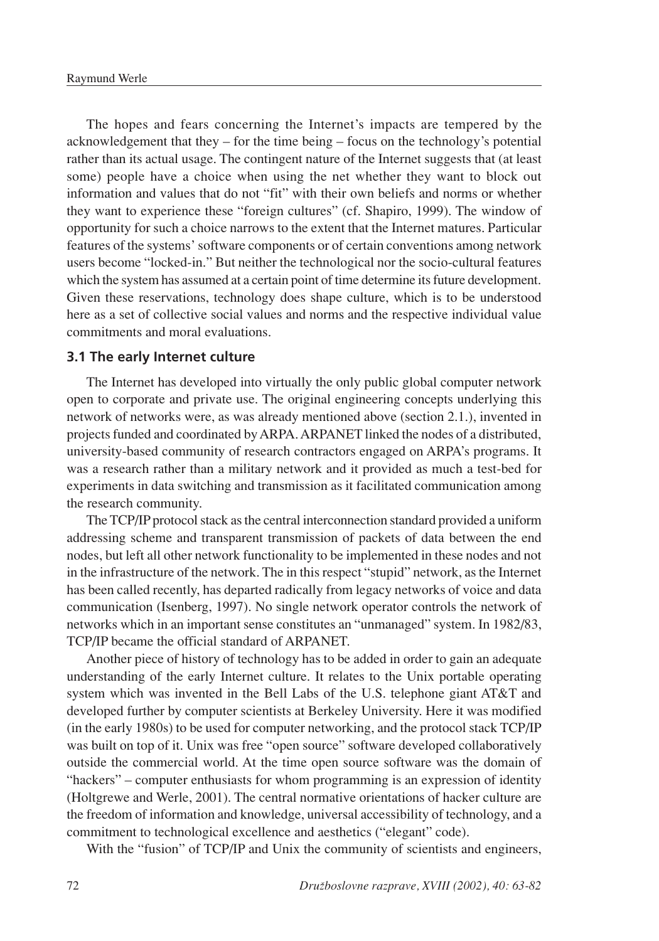The hopes and fears concerning the Internet's impacts are tempered by the acknowledgement that they  $-$  for the time being  $-$  focus on the technology's potential rather than its actual usage. The contingent nature of the Internet suggests that (at least some) people have a choice when using the net whether they want to block out information and values that do not "fit" with their own beliefs and norms or whether they want to experience these "foreign cultures" (cf. Shapiro, 1999). The window of opportunity for such a choice narrows to the extent that the Internet matures. Particular features of the systems' software components or of certain conventions among network users become "locked-in." But neither the technological nor the socio-cultural features which the system has assumed at a certain point of time determine its future development. Given these reservations, technology does shape culture, which is to be understood here as a set of collective social values and norms and the respective individual value commitments and moral evaluations.

#### **3.1 The early Internet culture**

The Internet has developed into virtually the only public global computer network open to corporate and private use. The original engineering concepts underlying this network of networks were, as was already mentioned above (section 2.1.), invented in projects funded and coordinated by ARPA. ARPANET linked the nodes of a distributed, university-based community of research contractors engaged on ARPA's programs. It was a research rather than a military network and it provided as much a test-bed for experiments in data switching and transmission as it facilitated communication among the research community.

The TCP/IP protocol stack as the central interconnection standard provided a uniform addressing scheme and transparent transmission of packets of data between the end nodes, but left all other network functionality to be implemented in these nodes and not in the infrastructure of the network. The in this respect "stupid" network, as the Internet has been called recently, has departed radically from legacy networks of voice and data communication (Isenberg, 1997). No single network operator controls the network of networks which in an important sense constitutes an "unmanaged" system. In 1982/83, TCP/IP became the official standard of ARPANET.

Another piece of history of technology has to be added in order to gain an adequate understanding of the early Internet culture. It relates to the Unix portable operating system which was invented in the Bell Labs of the U.S. telephone giant AT&T and developed further by computer scientists at Berkeley University. Here it was modified (in the early 1980s) to be used for computer networking, and the protocol stack TCP/IP was built on top of it. Unix was free "open source" software developed collaboratively outside the commercial world. At the time open source software was the domain of "hackers" – computer enthusiasts for whom programming is an expression of identity (Holtgrewe and Werle, 2001). The central normative orientations of hacker culture are the freedom of information and knowledge, universal accessibility of technology, and a commitment to technological excellence and aesthetics ("elegant" code).

With the "fusion" of TCP/IP and Unix the community of scientists and engineers,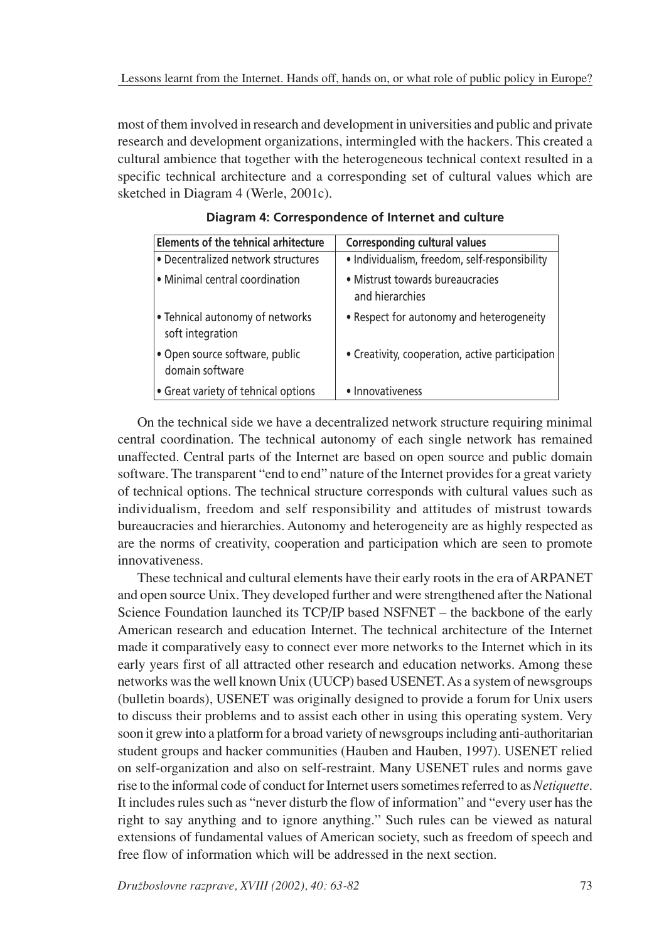most of them involved in research and development in universities and public and private research and development organizations, intermingled with the hackers. This created a cultural ambience that together with the heterogeneous technical context resulted in a specific technical architecture and a corresponding set of cultural values which are sketched in Diagram 4 (Werle, 2001c).

| <b>Elements of the tehnical arhitecture</b>         | <b>Corresponding cultural values</b>                |  |
|-----------------------------------------------------|-----------------------------------------------------|--|
| • Decentralized network structures                  | · Individualism, freedom, self-responsibility       |  |
| • Minimal central coordination                      | • Mistrust towards bureaucracies<br>and hierarchies |  |
| • Tehnical autonomy of networks<br>soft integration | • Respect for autonomy and heterogeneity            |  |
| • Open source software, public<br>domain software   | • Creativity, cooperation, active participation     |  |
| • Great variety of tehnical options                 | • Innovativeness                                    |  |

### **Diagram 4: Correspondence of Internet and culture**

On the technical side we have a decentralized network structure requiring minimal central coordination. The technical autonomy of each single network has remained unaffected. Central parts of the Internet are based on open source and public domain software. The transparent "end to end" nature of the Internet provides for a great variety of technical options. The technical structure corresponds with cultural values such as individualism, freedom and self responsibility and attitudes of mistrust towards bureaucracies and hierarchies. Autonomy and heterogeneity are as highly respected as are the norms of creativity, cooperation and participation which are seen to promote innovativeness.

These technical and cultural elements have their early roots in the era of ARPANET and open source Unix. They developed further and were strengthened after the National Science Foundation launched its  $TCP/IP$  based  $NSFNET -$  the backbone of the early American research and education Internet. The technical architecture of the Internet made it comparatively easy to connect ever more networks to the Internet which in its early years first of all attracted other research and education networks. Among these networks was the well known Unix (UUCP) based USENET. As a system of newsgroups (bulletin boards), USENET was originally designed to provide a forum for Unix users to discuss their problems and to assist each other in using this operating system. Very soon it grew into a platform for a broad variety of newsgroups including anti-authoritarian student groups and hacker communities (Hauben and Hauben, 1997). USENET relied on self-organization and also on self-restraint. Many USENET rules and norms gave rise to the informal code of conduct for Internet users sometimes referred to as *Netiquette*. It includes rules such as "never disturb the flow of information" and "every user has the right to say anything and to ignore anything." Such rules can be viewed as natural extensions of fundamental values of American society, such as freedom of speech and free flow of information which will be addressed in the next section.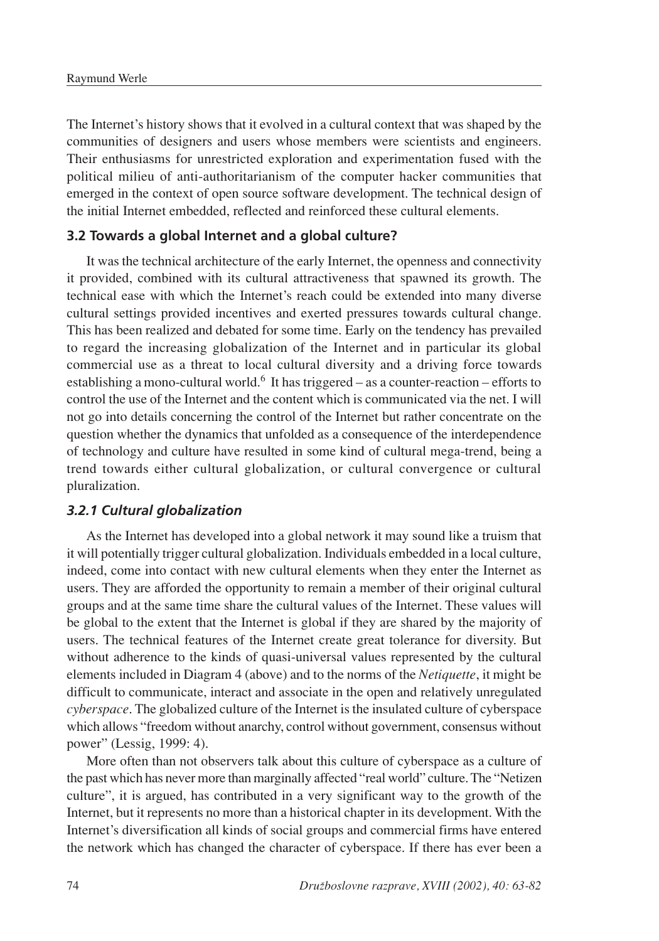The Internet's history shows that it evolved in a cultural context that was shaped by the communities of designers and users whose members were scientists and engineers. Their enthusiasms for unrestricted exploration and experimentation fused with the political milieu of anti-authoritarianism of the computer hacker communities that emerged in the context of open source software development. The technical design of the initial Internet embedded, reflected and reinforced these cultural elements.

### **3.2 Towards a global Internet and a global culture?**

It was the technical architecture of the early Internet, the openness and connectivity it provided, combined with its cultural attractiveness that spawned its growth. The technical ease with which the Internet's reach could be extended into many diverse cultural settings provided incentives and exerted pressures towards cultural change. This has been realized and debated for some time. Early on the tendency has prevailed to regard the increasing globalization of the Internet and in particular its global commercial use as a threat to local cultural diversity and a driving force towards establishing a mono-cultural world.<sup>6</sup> It has triggered  $-$  as a counter-reaction  $-$  efforts to control the use of the Internet and the content which is communicated via the net. I will not go into details concerning the control of the Internet but rather concentrate on the question whether the dynamics that unfolded as a consequence of the interdependence of technology and culture have resulted in some kind of cultural mega-trend, being a trend towards either cultural globalization, or cultural convergence or cultural pluralization.

### *3.2.1 Cultural globalization*

As the Internet has developed into a global network it may sound like a truism that it will potentially trigger cultural globalization. Individuals embedded in a local culture, indeed, come into contact with new cultural elements when they enter the Internet as users. They are afforded the opportunity to remain a member of their original cultural groups and at the same time share the cultural values of the Internet. These values will be global to the extent that the Internet is global if they are shared by the majority of users. The technical features of the Internet create great tolerance for diversity. But without adherence to the kinds of quasi-universal values represented by the cultural elements included in Diagram 4 (above) and to the norms of the *Netiquette*, it might be difficult to communicate, interact and associate in the open and relatively unregulated *cyberspace*. The globalized culture of the Internet is the insulated culture of cyberspace which allows "freedom without anarchy, control without government, consensus without power" (Lessig, 1999: 4).

More often than not observers talk about this culture of cyberspace as a culture of the past which has never more than marginally affected "real world" culture. The "Netizen culture", it is argued, has contributed in a very significant way to the growth of the Internet, but it represents no more than a historical chapter in its development. With the Internet's diversification all kinds of social groups and commercial firms have entered the network which has changed the character of cyberspace. If there has ever been a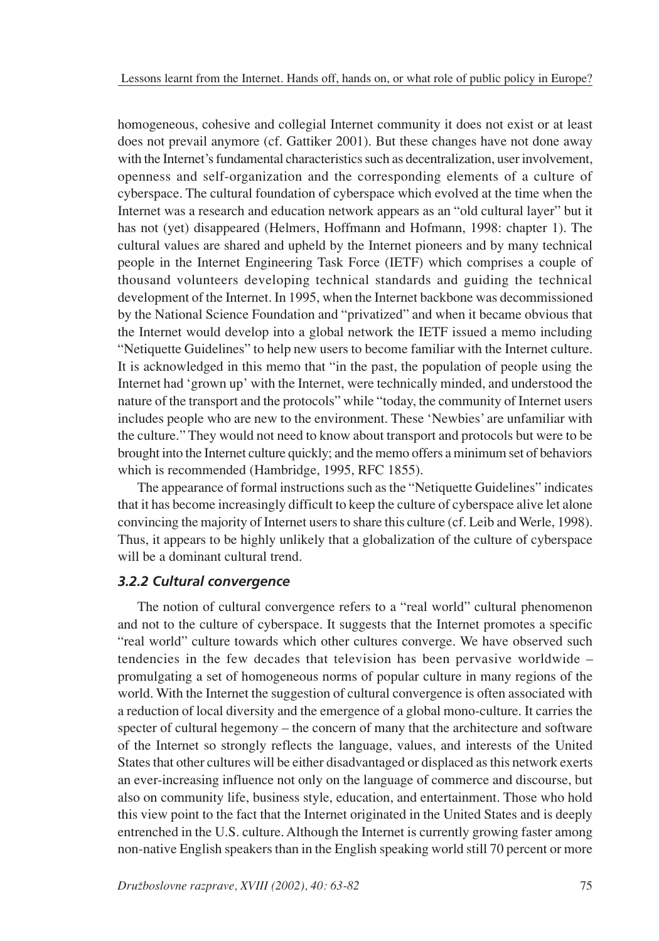homogeneous, cohesive and collegial Internet community it does not exist or at least does not prevail anymore (cf. Gattiker 2001). But these changes have not done away with the Internet's fundamental characteristics such as decentralization, user involvement, openness and self-organization and the corresponding elements of a culture of cyberspace. The cultural foundation of cyberspace which evolved at the time when the Internet was a research and education network appears as an "old cultural layer" but it has not (yet) disappeared (Helmers, Hoffmann and Hofmann, 1998: chapter 1). The cultural values are shared and upheld by the Internet pioneers and by many technical people in the Internet Engineering Task Force (IETF) which comprises a couple of thousand volunteers developing technical standards and guiding the technical development of the Internet. In 1995, when the Internet backbone was decommissioned by the National Science Foundation and "privatized" and when it became obvious that the Internet would develop into a global network the IETF issued a memo including "Netiquette Guidelines" to help new users to become familiar with the Internet culture. It is acknowledged in this memo that "in the past, the population of people using the Internet had 'grown up' with the Internet, were technically minded, and understood the nature of the transport and the protocols" while "today, the community of Internet users includes people who are new to the environment. These 'Newbies' are unfamiliar with the culture." They would not need to know about transport and protocols but were to be brought into the Internet culture quickly; and the memo offers a minimum set of behaviors which is recommended (Hambridge, 1995, RFC 1855).

The appearance of formal instructions such as the "Netiquette Guidelines" indicates that it has become increasingly difficult to keep the culture of cyberspace alive let alone convincing the majority of Internet users to share this culture (cf. Leib and Werle, 1998). Thus, it appears to be highly unlikely that a globalization of the culture of cyberspace will be a dominant cultural trend.

### *3.2.2 Cultural convergence*

The notion of cultural convergence refers to a "real world" cultural phenomenon and not to the culture of cyberspace. It suggests that the Internet promotes a specific "real world" culture towards which other cultures converge. We have observed such tendencies in the few decades that television has been pervasive worldwide  $$ promulgating a set of homogeneous norms of popular culture in many regions of the world. With the Internet the suggestion of cultural convergence is often associated with a reduction of local diversity and the emergence of a global mono-culture. It carries the specter of cultural hegemony – the concern of many that the architecture and software of the Internet so strongly reflects the language, values, and interests of the United States that other cultures will be either disadvantaged or displaced as this network exerts an ever-increasing influence not only on the language of commerce and discourse, but also on community life, business style, education, and entertainment. Those who hold this view point to the fact that the Internet originated in the United States and is deeply entrenched in the U.S. culture. Although the Internet is currently growing faster among non-native English speakers than in the English speaking world still 70 percent or more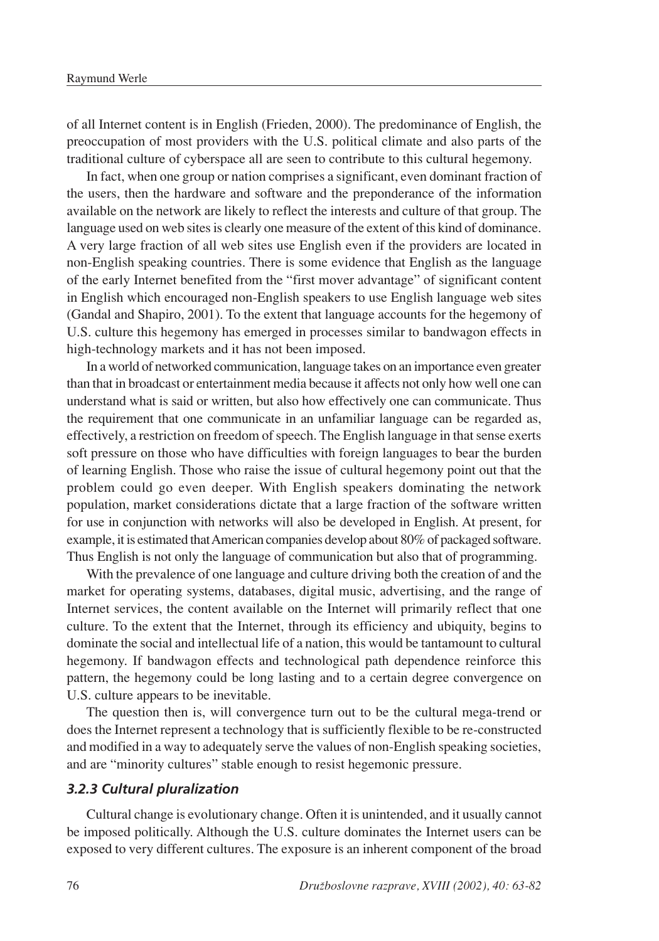of all Internet content is in English (Frieden, 2000). The predominance of English, the preoccupation of most providers with the U.S. political climate and also parts of the traditional culture of cyberspace all are seen to contribute to this cultural hegemony.

In fact, when one group or nation comprises a significant, even dominant fraction of the users, then the hardware and software and the preponderance of the information available on the network are likely to reflect the interests and culture of that group. The language used on web sites is clearly one measure of the extent of this kind of dominance. A very large fraction of all web sites use English even if the providers are located in non-English speaking countries. There is some evidence that English as the language of the early Internet benefited from the "first mover advantage" of significant content in English which encouraged non-English speakers to use English language web sites (Gandal and Shapiro, 2001). To the extent that language accounts for the hegemony of U.S. culture this hegemony has emerged in processes similar to bandwagon effects in high-technology markets and it has not been imposed.

In a world of networked communication, language takes on an importance even greater than that in broadcast or entertainment media because it affects not only how well one can understand what is said or written, but also how effectively one can communicate. Thus the requirement that one communicate in an unfamiliar language can be regarded as, effectively, a restriction on freedom of speech. The English language in that sense exerts soft pressure on those who have difficulties with foreign languages to bear the burden of learning English. Those who raise the issue of cultural hegemony point out that the problem could go even deeper. With English speakers dominating the network population, market considerations dictate that a large fraction of the software written for use in conjunction with networks will also be developed in English. At present, for example, it is estimated that American companies develop about 80% of packaged software. Thus English is not only the language of communication but also that of programming.

With the prevalence of one language and culture driving both the creation of and the market for operating systems, databases, digital music, advertising, and the range of Internet services, the content available on the Internet will primarily reflect that one culture. To the extent that the Internet, through its efficiency and ubiquity, begins to dominate the social and intellectual life of a nation, this would be tantamount to cultural hegemony. If bandwagon effects and technological path dependence reinforce this pattern, the hegemony could be long lasting and to a certain degree convergence on U.S. culture appears to be inevitable.

The question then is, will convergence turn out to be the cultural mega-trend or does the Internet represent a technology that is sufficiently flexible to be re-constructed and modified in a way to adequately serve the values of non-English speaking societies, and are "minority cultures" stable enough to resist hegemonic pressure.

### *3.2.3 Cultural pluralization*

Cultural change is evolutionary change. Often it is unintended, and it usually cannot be imposed politically. Although the U.S. culture dominates the Internet users can be exposed to very different cultures. The exposure is an inherent component of the broad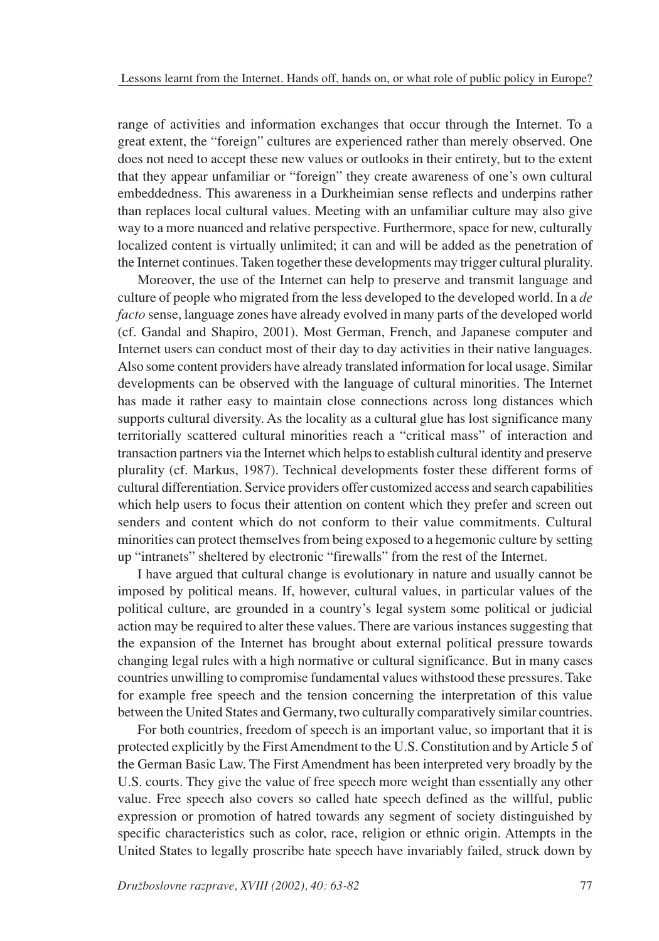range of activities and information exchanges that occur through the Internet. To a great extent, the "foreign" cultures are experienced rather than merely observed. One does not need to accept these new values or outlooks in their entirety, but to the extent that they appear unfamiliar or "foreign" they create awareness of one's own cultural embeddedness. This awareness in a Durkheimian sense reflects and underpins rather than replaces local cultural values. Meeting with an unfamiliar culture may also give way to a more nuanced and relative perspective. Furthermore, space for new, culturally localized content is virtually unlimited; it can and will be added as the penetration of the Internet continues. Taken together these developments may trigger cultural plurality.

Moreover, the use of the Internet can help to preserve and transmit language and culture of people who migrated from the less developed to the developed world. In a *de facto* sense, language zones have already evolved in many parts of the developed world (cf. Gandal and Shapiro, 2001). Most German, French, and Japanese computer and Internet users can conduct most of their day to day activities in their native languages. Also some content providers have already translated information for local usage. Similar developments can be observed with the language of cultural minorities. The Internet has made it rather easy to maintain close connections across long distances which supports cultural diversity. As the locality as a cultural glue has lost significance many territorially scattered cultural minorities reach a "critical mass" of interaction and transaction partners via the Internet which helps to establish cultural identity and preserve plurality (cf. Markus, 1987). Technical developments foster these different forms of cultural differentiation. Service providers offer customized access and search capabilities which help users to focus their attention on content which they prefer and screen out senders and content which do not conform to their value commitments. Cultural minorities can protect themselves from being exposed to a hegemonic culture by setting up "intranets" sheltered by electronic "firewalls" from the rest of the Internet.

I have argued that cultural change is evolutionary in nature and usually cannot be imposed by political means. If, however, cultural values, in particular values of the political culture, are grounded in a country's legal system some political or judicial action may be required to alter these values. There are various instances suggesting that the expansion of the Internet has brought about external political pressure towards changing legal rules with a high normative or cultural significance. But in many cases countries unwilling to compromise fundamental values withstood these pressures. Take for example free speech and the tension concerning the interpretation of this value between the United States and Germany, two culturally comparatively similar countries.

For both countries, freedom of speech is an important value, so important that it is protected explicitly by the First Amendment to the U.S. Constitution and by Article 5 of the German Basic Law. The First Amendment has been interpreted very broadly by the U.S. courts. They give the value of free speech more weight than essentially any other value. Free speech also covers so called hate speech defined as the willful, public expression or promotion of hatred towards any segment of society distinguished by specific characteristics such as color, race, religion or ethnic origin. Attempts in the United States to legally proscribe hate speech have invariably failed, struck down by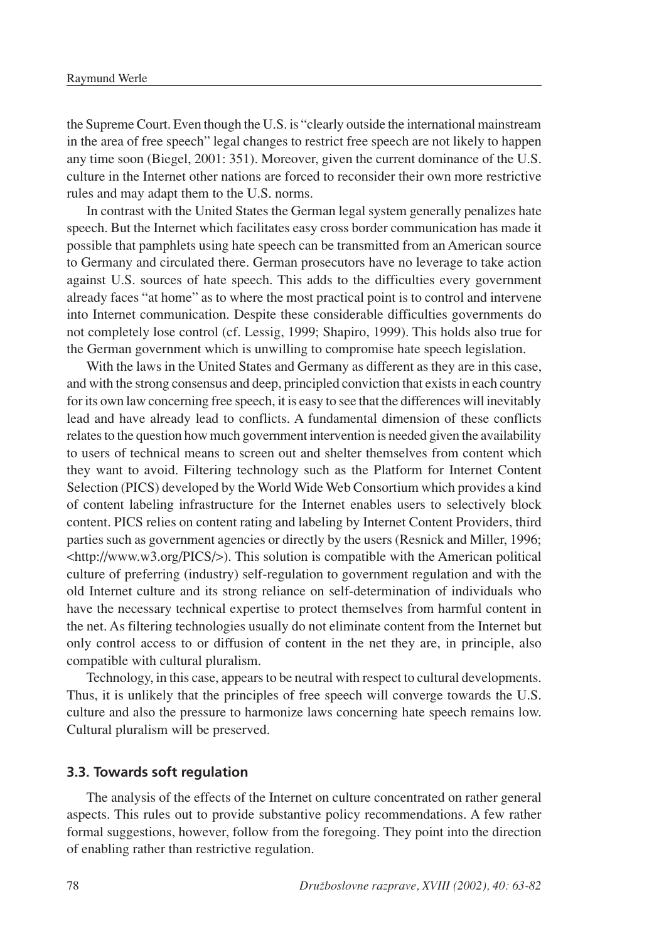the Supreme Court. Even though the U.S. is "clearly outside the international mainstream in the area of free speech" legal changes to restrict free speech are not likely to happen any time soon (Biegel, 2001: 351). Moreover, given the current dominance of the U.S. culture in the Internet other nations are forced to reconsider their own more restrictive rules and may adapt them to the U.S. norms.

In contrast with the United States the German legal system generally penalizes hate speech. But the Internet which facilitates easy cross border communication has made it possible that pamphlets using hate speech can be transmitted from an American source to Germany and circulated there. German prosecutors have no leverage to take action against U.S. sources of hate speech. This adds to the difficulties every government already faces "at home" as to where the most practical point is to control and intervene into Internet communication. Despite these considerable difficulties governments do not completely lose control (cf. Lessig, 1999; Shapiro, 1999). This holds also true for the German government which is unwilling to compromise hate speech legislation.

With the laws in the United States and Germany as different as they are in this case, and with the strong consensus and deep, principled conviction that exists in each country for its own law concerning free speech, it is easy to see that the differences will inevitably lead and have already lead to conflicts. A fundamental dimension of these conflicts relates to the question how much government intervention is needed given the availability to users of technical means to screen out and shelter themselves from content which they want to avoid. Filtering technology such as the Platform for Internet Content Selection (PICS) developed by the World Wide Web Consortium which provides a kind of content labeling infrastructure for the Internet enables users to selectively block content. PICS relies on content rating and labeling by Internet Content Providers, third parties such as government agencies or directly by the users (Resnick and Miller, 1996;  $\langle \text{http://www.w3.org/PICS/}\rangle$ . This solution is compatible with the American political culture of preferring (industry) self-regulation to government regulation and with the old Internet culture and its strong reliance on self-determination of individuals who have the necessary technical expertise to protect themselves from harmful content in the net. As filtering technologies usually do not eliminate content from the Internet but only control access to or diffusion of content in the net they are, in principle, also compatible with cultural pluralism.

Technology, in this case, appears to be neutral with respect to cultural developments. Thus, it is unlikely that the principles of free speech will converge towards the U.S. culture and also the pressure to harmonize laws concerning hate speech remains low. Cultural pluralism will be preserved.

#### **3.3. Towards soft regulation**

The analysis of the effects of the Internet on culture concentrated on rather general aspects. This rules out to provide substantive policy recommendations. A few rather formal suggestions, however, follow from the foregoing. They point into the direction of enabling rather than restrictive regulation.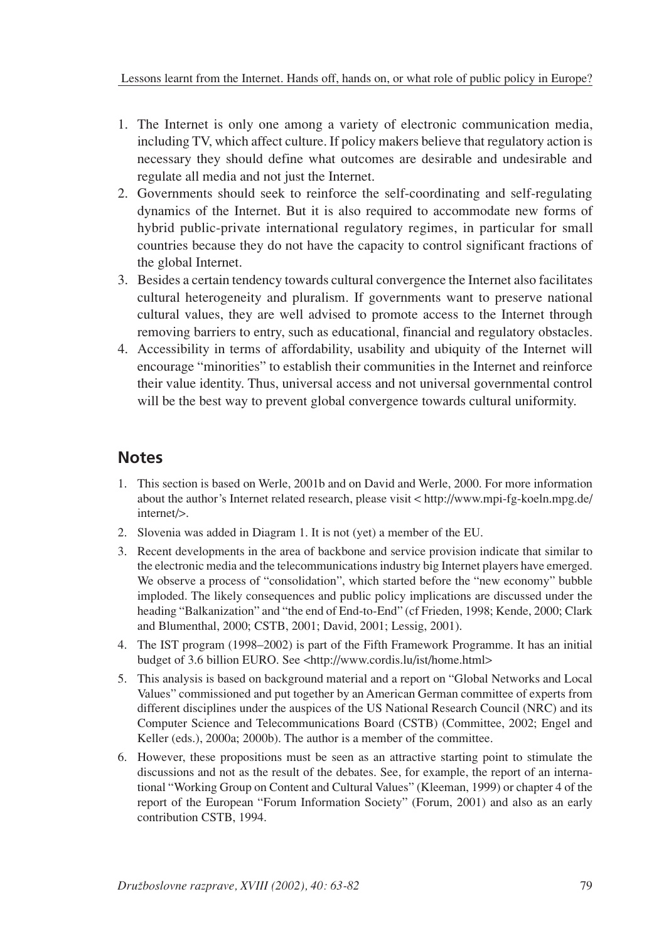- 1. The Internet is only one among a variety of electronic communication media, including TV, which affect culture. If policy makers believe that regulatory action is necessary they should define what outcomes are desirable and undesirable and regulate all media and not just the Internet.
- 2. Governments should seek to reinforce the self-coordinating and self-regulating dynamics of the Internet. But it is also required to accommodate new forms of hybrid public-private international regulatory regimes, in particular for small countries because they do not have the capacity to control significant fractions of the global Internet.
- 3. Besides a certain tendency towards cultural convergence the Internet also facilitates cultural heterogeneity and pluralism. If governments want to preserve national cultural values, they are well advised to promote access to the Internet through removing barriers to entry, such as educational, financial and regulatory obstacles.
- 4. Accessibility in terms of affordability, usability and ubiquity of the Internet will encourage "minorities" to establish their communities in the Internet and reinforce their value identity. Thus, universal access and not universal governmental control will be the best way to prevent global convergence towards cultural uniformity.

# **Notes**

- 1. This section is based on Werle, 2001b and on David and Werle, 2000. For more information about the author's Internet related research, please visit < http://www.mpi-fg-koeln.mpg.de/ internet/>.
- 2. Slovenia was added in Diagram 1. It is not (yet) a member of the EU.
- 3. Recent developments in the area of backbone and service provision indicate that similar to the electronic media and the telecommunications industry big Internet players have emerged. We observe a process of "consolidation", which started before the "new economy" bubble imploded. The likely consequences and public policy implications are discussed under the heading "Balkanization" and "the end of End-to-End" (cf Frieden, 1998; Kende, 2000; Clark and Blumenthal, 2000; CSTB, 2001; David, 2001; Lessig, 2001).
- 4. The IST program (1998–2002) is part of the Fifth Framework Programme. It has an initial budget of 3.6 billion EURO. See <http://www.cordis.lu/ist/home.html>
- 5. This analysis is based on background material and a report on "Global Networks and Local Values" commissioned and put together by an American German committee of experts from different disciplines under the auspices of the US National Research Council (NRC) and its Computer Science and Telecommunications Board (CSTB) (Committee, 2002; Engel and Keller (eds.), 2000a; 2000b). The author is a member of the committee.
- 6. However, these propositions must be seen as an attractive starting point to stimulate the discussions and not as the result of the debates. See, for example, the report of an international "Working Group on Content and Cultural Values" (Kleeman, 1999) or chapter 4 of the report of the European "Forum Information Society" (Forum, 2001) and also as an early contribution CSTB, 1994.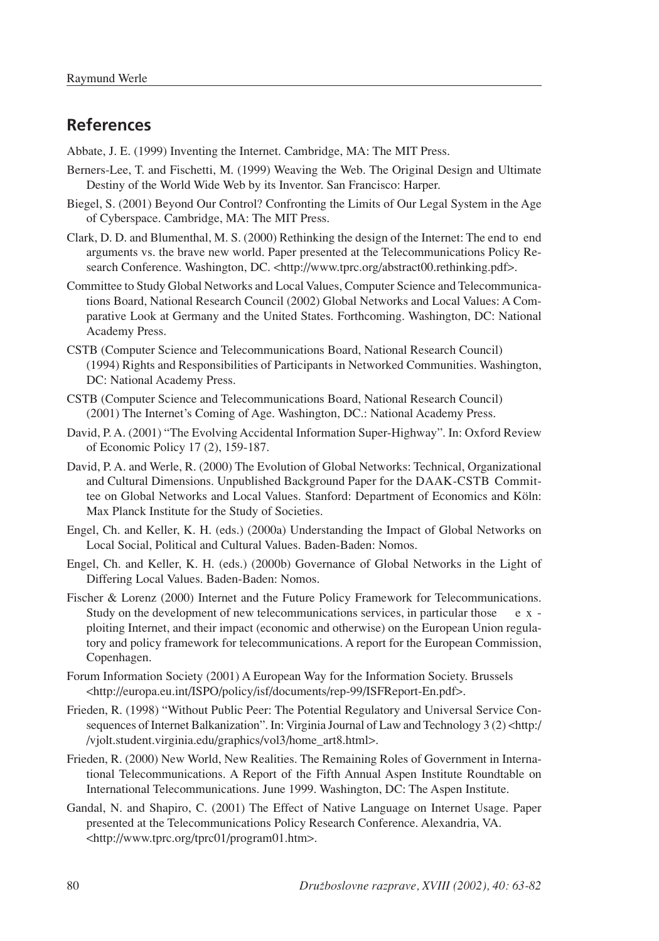# **References**

Abbate, J. E. (1999) Inventing the Internet. Cambridge, MA: The MIT Press.

- Berners-Lee, T. and Fischetti, M. (1999) Weaving the Web. The Original Design and Ultimate Destiny of the World Wide Web by its Inventor. San Francisco: Harper.
- Biegel, S. (2001) Beyond Our Control? Confronting the Limits of Our Legal System in the Age of Cyberspace. Cambridge, MA: The MIT Press.
- Clark, D. D. and Blumenthal, M. S. (2000) Rethinking the design of the Internet: The end to end arguments vs. the brave new world. Paper presented at the Telecommunications Policy Research Conference. Washington, DC. <http://www.tprc.org/abstract00.rethinking.pdf>.
- Committee to Study Global Networks and Local Values, Computer Science and Telecommunications Board, National Research Council (2002) Global Networks and Local Values: A Comparative Look at Germany and the United States. Forthcoming. Washington, DC: National Academy Press.
- CSTB (Computer Science and Telecommunications Board, National Research Council) (1994) Rights and Responsibilities of Participants in Networked Communities. Washington, DC: National Academy Press.
- CSTB (Computer Science and Telecommunications Board, National Research Council) (2001) The Internet's Coming of Age. Washington, DC.: National Academy Press.
- David, P. A. (2001) "The Evolving Accidental Information Super-Highway". In: Oxford Review of Economic Policy 17 (2), 159-187.
- David, P. A. and Werle, R. (2000) The Evolution of Global Networks: Technical, Organizational and Cultural Dimensions. Unpublished Background Paper for the DAAK-CSTB Committee on Global Networks and Local Values. Stanford: Department of Economics and Köln: Max Planck Institute for the Study of Societies.
- Engel, Ch. and Keller, K. H. (eds.) (2000a) Understanding the Impact of Global Networks on Local Social, Political and Cultural Values. Baden-Baden: Nomos.
- Engel, Ch. and Keller, K. H. (eds.) (2000b) Governance of Global Networks in the Light of Differing Local Values. Baden-Baden: Nomos.
- Fischer & Lorenz (2000) Internet and the Future Policy Framework for Telecommunications. Study on the development of new telecommunications services, in particular those  $e \times x$ ploiting Internet, and their impact (economic and otherwise) on the European Union regulatory and policy framework for telecommunications. A report for the European Commission, Copenhagen.
- Forum Information Society (2001) A European Way for the Information Society. Brussels <http://europa.eu.int/ISPO/policy/isf/documents/rep-99/ISFReport-En.pdf>.
- Frieden, R. (1998) "Without Public Peer: The Potential Regulatory and Universal Service Consequences of Internet Balkanization". In: Virginia Journal of Law and Technology 3 (2) <http:/ /vjolt.student.virginia.edu/graphics/vol3/home\_art8.html>.
- Frieden, R. (2000) New World, New Realities. The Remaining Roles of Government in International Telecommunications. A Report of the Fifth Annual Aspen Institute Roundtable on International Telecommunications. June 1999. Washington, DC: The Aspen Institute.
- Gandal, N. and Shapiro, C. (2001) The Effect of Native Language on Internet Usage. Paper presented at the Telecommunications Policy Research Conference. Alexandria, VA. <http://www.tprc.org/tprc01/program01.htm>.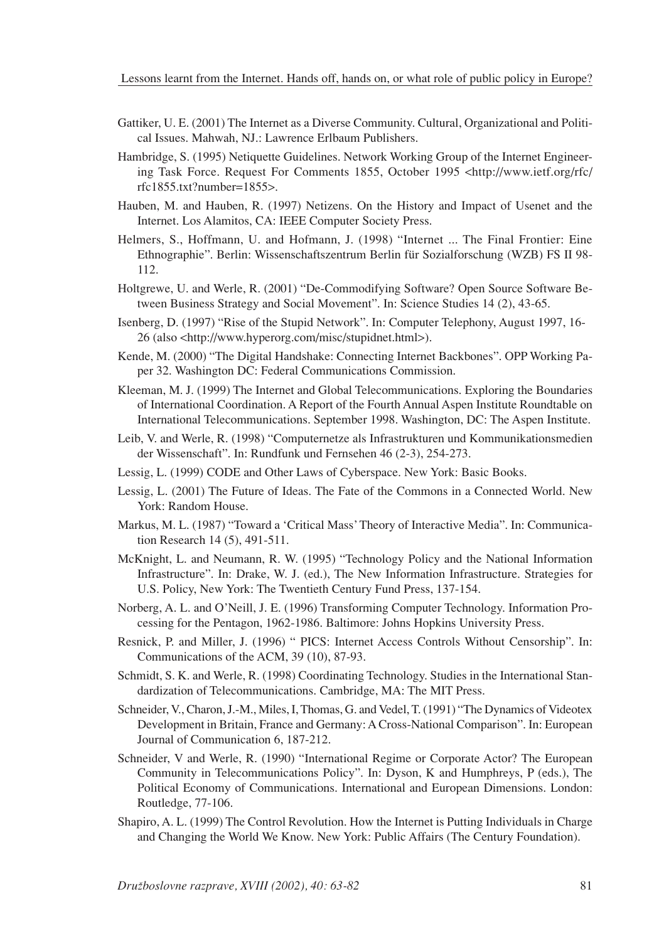- Gattiker, U. E. (2001) The Internet as a Diverse Community. Cultural, Organizational and Political Issues. Mahwah, NJ.: Lawrence Erlbaum Publishers.
- Hambridge, S. (1995) Netiquette Guidelines. Network Working Group of the Internet Engineering Task Force. Request For Comments 1855, October 1995 <http://www.ietf.org/rfc/ rfc1855.txt?number=1855>.
- Hauben, M. and Hauben, R. (1997) Netizens. On the History and Impact of Usenet and the Internet. Los Alamitos, CA: IEEE Computer Society Press.
- Helmers, S., Hoffmann, U. and Hofmann, J. (1998) "Internet ... The Final Frontier: Eine Ethnographie". Berlin: Wissenschaftszentrum Berlin für Sozialforschung (WZB) FS II 98- 112.
- Holtgrewe, U. and Werle, R. (2001) "De-Commodifying Software? Open Source Software Between Business Strategy and Social Movement". In: Science Studies 14 (2), 43-65.
- Isenberg, D. (1997) "Rise of the Stupid Network". In: Computer Telephony, August 1997, 16- 26 (also <http://www.hyperorg.com/misc/stupidnet.html>).
- Kende, M. (2000) "The Digital Handshake: Connecting Internet Backbones". OPP Working Paper 32. Washington DC: Federal Communications Commission.
- Kleeman, M. J. (1999) The Internet and Global Telecommunications. Exploring the Boundaries of International Coordination. A Report of the Fourth Annual Aspen Institute Roundtable on International Telecommunications. September 1998. Washington, DC: The Aspen Institute.
- Leib, V. and Werle, R. (1998) "Computernetze als Infrastrukturen und Kommunikationsmedien der Wissenschaft". In: Rundfunk und Fernsehen 46 (2-3), 254-273.
- Lessig, L. (1999) CODE and Other Laws of Cyberspace. New York: Basic Books.
- Lessig, L. (2001) The Future of Ideas. The Fate of the Commons in a Connected World. New York: Random House.
- Markus, M. L. (1987) "Toward a 'Critical Mass' Theory of Interactive Media". In: Communication Research 14 (5), 491-511.
- McKnight, L. and Neumann, R. W. (1995) "Technology Policy and the National Information Infrastructure". In: Drake, W. J. (ed.), The New Information Infrastructure. Strategies for U.S. Policy, New York: The Twentieth Century Fund Press, 137-154.
- Norberg, A. L. and O'Neill, J. E. (1996) Transforming Computer Technology. Information Processing for the Pentagon, 1962-1986. Baltimore: Johns Hopkins University Press.
- Resnick, P. and Miller, J. (1996) " PICS: Internet Access Controls Without Censorship". In: Communications of the ACM, 39 (10), 87-93.
- Schmidt, S. K. and Werle, R. (1998) Coordinating Technology. Studies in the International Standardization of Telecommunications. Cambridge, MA: The MIT Press.
- Schneider, V., Charon, J.-M., Miles, I, Thomas, G. and Vedel, T. (1991) "The Dynamics of Videotex Development in Britain, France and Germany: A Cross-National Comparison". In: European Journal of Communication 6, 187-212.
- Schneider, V and Werle, R. (1990) "International Regime or Corporate Actor? The European Community in Telecommunications Policy". In: Dyson, K and Humphreys, P (eds.), The Political Economy of Communications. International and European Dimensions. London: Routledge, 77-106.
- Shapiro, A. L. (1999) The Control Revolution. How the Internet is Putting Individuals in Charge and Changing the World We Know. New York: Public Affairs (The Century Foundation).